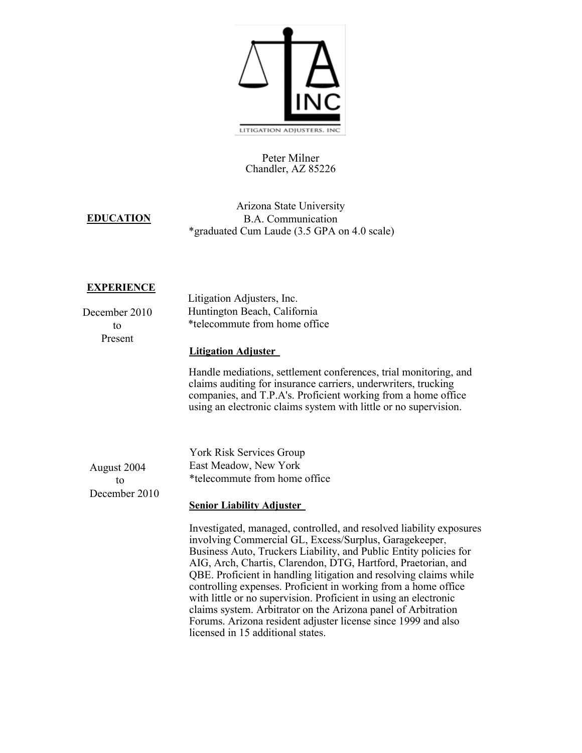

## Peter Milner Chandler, AZ 85226

## **EDUCATION**

Arizona State University B.A. Communication \*graduated Cum Laude (3.5 GPA on 4.0 scale)

## **EXPERIENCE**

|               | Litigation Adjusters, Inc.                                                                                                                                                                                                                                                                                                                                                                                                                                                                                                                                                                                       |
|---------------|------------------------------------------------------------------------------------------------------------------------------------------------------------------------------------------------------------------------------------------------------------------------------------------------------------------------------------------------------------------------------------------------------------------------------------------------------------------------------------------------------------------------------------------------------------------------------------------------------------------|
| December 2010 | Huntington Beach, California                                                                                                                                                                                                                                                                                                                                                                                                                                                                                                                                                                                     |
| to            | *telecommute from home office                                                                                                                                                                                                                                                                                                                                                                                                                                                                                                                                                                                    |
| Present       |                                                                                                                                                                                                                                                                                                                                                                                                                                                                                                                                                                                                                  |
|               | <b>Litigation Adjuster</b>                                                                                                                                                                                                                                                                                                                                                                                                                                                                                                                                                                                       |
|               | Handle mediations, settlement conferences, trial monitoring, and<br>claims auditing for insurance carriers, underwriters, trucking<br>companies, and T.P.A's. Proficient working from a home office<br>using an electronic claims system with little or no supervision.                                                                                                                                                                                                                                                                                                                                          |
|               |                                                                                                                                                                                                                                                                                                                                                                                                                                                                                                                                                                                                                  |
|               | York Risk Services Group                                                                                                                                                                                                                                                                                                                                                                                                                                                                                                                                                                                         |
| August 2004   | East Meadow, New York                                                                                                                                                                                                                                                                                                                                                                                                                                                                                                                                                                                            |
| to            | *telecommute from home office                                                                                                                                                                                                                                                                                                                                                                                                                                                                                                                                                                                    |
| December 2010 |                                                                                                                                                                                                                                                                                                                                                                                                                                                                                                                                                                                                                  |
|               | <b>Senior Liability Adjuster</b>                                                                                                                                                                                                                                                                                                                                                                                                                                                                                                                                                                                 |
|               | Investigated, managed, controlled, and resolved liability exposures<br>involving Commercial GL, Excess/Surplus, Garagekeeper,<br>Business Auto, Truckers Liability, and Public Entity policies for<br>AIG, Arch, Chartis, Clarendon, DTG, Hartford, Praetorian, and<br>QBE. Proficient in handling litigation and resolving claims while<br>controlling expenses. Proficient in working from a home office<br>with little or no supervision. Proficient in using an electronic<br>claims system. Arbitrator on the Arizona panel of Arbitration<br>Forums. Arizona resident adjuster license since 1999 and also |

licensed in 15 additional states.